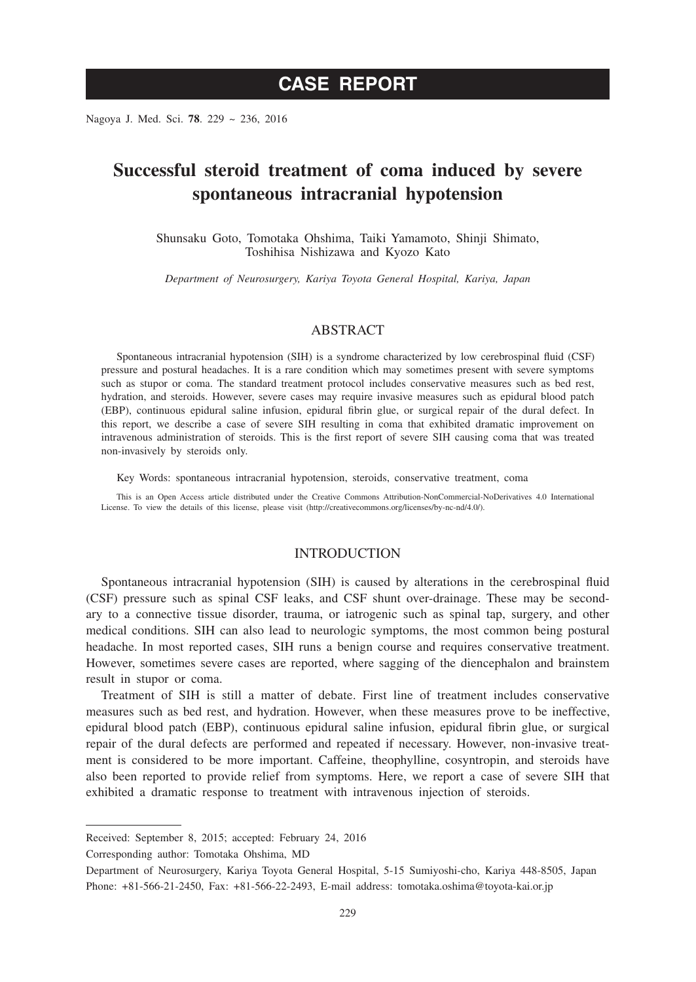Nagoya J. Med. Sci. **78**. 229 ~ 236, 2016

# **Successful steroid treatment of coma induced by severe spontaneous intracranial hypotension**

Shunsaku Goto, Tomotaka Ohshima, Taiki Yamamoto, Shinji Shimato, Toshihisa Nishizawa and Kyozo Kato

*Department of Neurosurgery, Kariya Toyota General Hospital, Kariya, Japan*

## ABSTRACT

Spontaneous intracranial hypotension (SIH) is a syndrome characterized by low cerebrospinal fluid (CSF) pressure and postural headaches. It is a rare condition which may sometimes present with severe symptoms such as stupor or coma. The standard treatment protocol includes conservative measures such as bed rest, hydration, and steroids. However, severe cases may require invasive measures such as epidural blood patch (EBP), continuous epidural saline infusion, epidural fibrin glue, or surgical repair of the dural defect. In this report, we describe a case of severe SIH resulting in coma that exhibited dramatic improvement on intravenous administration of steroids. This is the first report of severe SIH causing coma that was treated non-invasively by steroids only.

Key Words: spontaneous intracranial hypotension, steroids, conservative treatment, coma

This is an Open Access article distributed under the Creative Commons Attribution-NonCommercial-NoDerivatives 4.0 International License. To view the details of this license, please visit (http://creativecommons.org/licenses/by-nc-nd/4.0/).

## INTRODUCTION

Spontaneous intracranial hypotension (SIH) is caused by alterations in the cerebrospinal fluid (CSF) pressure such as spinal CSF leaks, and CSF shunt over-drainage. These may be secondary to a connective tissue disorder, trauma, or iatrogenic such as spinal tap, surgery, and other medical conditions. SIH can also lead to neurologic symptoms, the most common being postural headache. In most reported cases, SIH runs a benign course and requires conservative treatment. However, sometimes severe cases are reported, where sagging of the diencephalon and brainstem result in stupor or coma.

Treatment of SIH is still a matter of debate. First line of treatment includes conservative measures such as bed rest, and hydration. However, when these measures prove to be ineffective, epidural blood patch (EBP), continuous epidural saline infusion, epidural fibrin glue, or surgical repair of the dural defects are performed and repeated if necessary. However, non-invasive treatment is considered to be more important. Caffeine, theophylline, cosyntropin, and steroids have also been reported to provide relief from symptoms. Here, we report a case of severe SIH that exhibited a dramatic response to treatment with intravenous injection of steroids.

Corresponding author: Tomotaka Ohshima, MD

Received: September 8, 2015; accepted: February 24, 2016

Department of Neurosurgery, Kariya Toyota General Hospital, 5-15 Sumiyoshi-cho, Kariya 448-8505, Japan Phone: +81-566-21-2450, Fax: +81-566-22-2493, E-mail address: tomotaka.oshima@toyota-kai.or.jp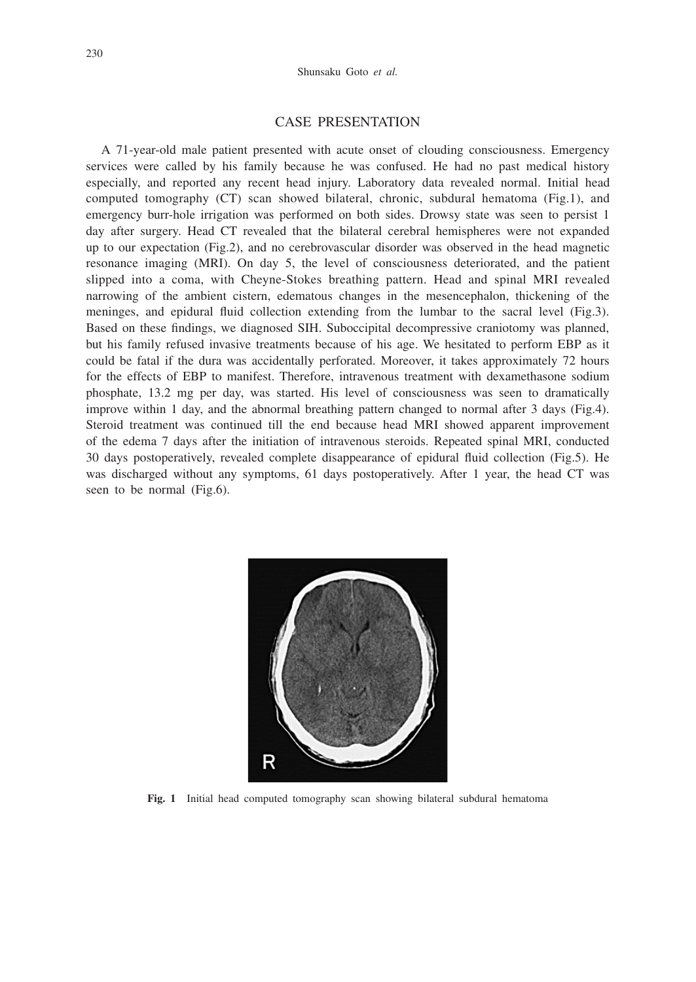#### CASE PRESENTATION

A 71-year-old male patient presented with acute onset of clouding consciousness. Emergency services were called by his family because he was confused. He had no past medical history especially, and reported any recent head injury. Laboratory data revealed normal. Initial head computed tomography (CT) scan showed bilateral, chronic, subdural hematoma (Fig.1), and emergency burr-hole irrigation was performed on both sides. Drowsy state was seen to persist 1 day after surgery. Head CT revealed that the bilateral cerebral hemispheres were not expanded up to our expectation (Fig.2), and no cerebrovascular disorder was observed in the head magnetic resonance imaging (MRI). On day 5, the level of consciousness deteriorated, and the patient slipped into a coma, with Cheyne-Stokes breathing pattern. Head and spinal MRI revealed narrowing of the ambient cistern, edematous changes in the mesencephalon, thickening of the meninges, and epidural fluid collection extending from the lumbar to the sacral level (Fig.3). Based on these findings, we diagnosed SIH. Suboccipital decompressive craniotomy was planned, but his family refused invasive treatments because of his age. We hesitated to perform EBP as it could be fatal if the dura was accidentally perforated. Moreover, it takes approximately 72 hours for the effects of EBP to manifest. Therefore, intravenous treatment with dexamethasone sodium phosphate, 13.2 mg per day, was started. His level of consciousness was seen to dramatically improve within 1 day, and the abnormal breathing pattern changed to normal after 3 days (Fig.4). Steroid treatment was continued till the end because head MRI showed apparent improvement of the edema 7 days after the initiation of intravenous steroids. Repeated spinal MRI, conducted 30 days postoperatively, revealed complete disappearance of epidural fluid collection (Fig.5). He was discharged without any symptoms, 61 days postoperatively. After 1 year, the head CT was seen to be normal (Fig.6).



**Fig. 1** Initial head computed tomography scan showing bilateral subdural hematoma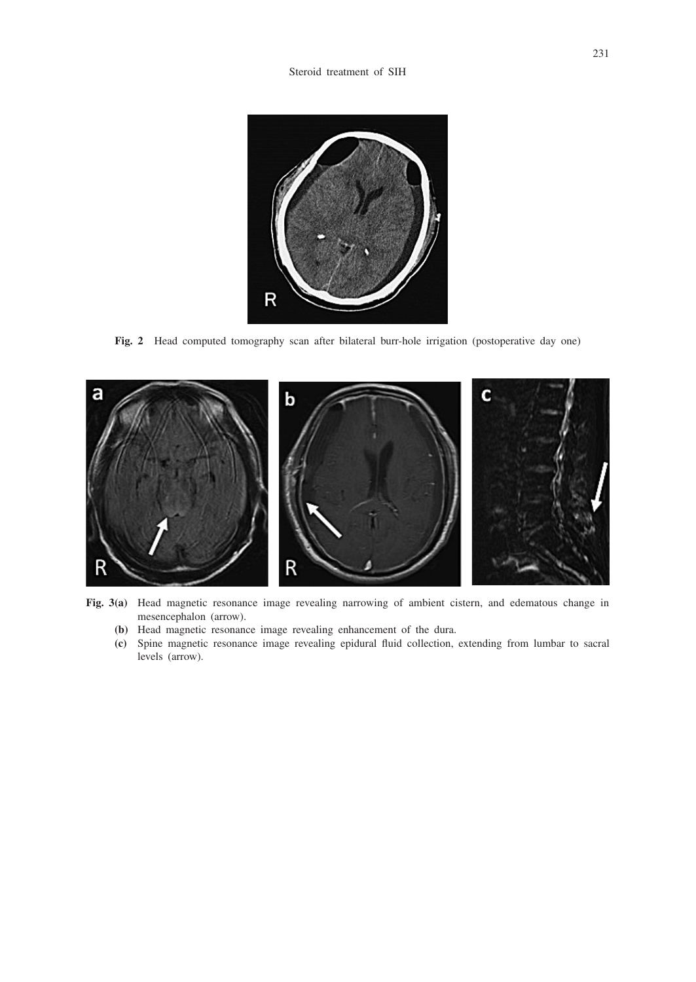

**Fig. 2** Head computed tomography scan after bilateral burr-hole irrigation (postoperative day one)



**Fig. 3(a)** Head magnetic resonance image revealing narrowing of ambient cistern, and edematous change in mesencephalon (arrow).

- **(b)** Head magnetic resonance image revealing enhancement of the dura.
- **(c)** Spine magnetic resonance image revealing epidural fluid collection, extending from lumbar to sacral levels (arrow).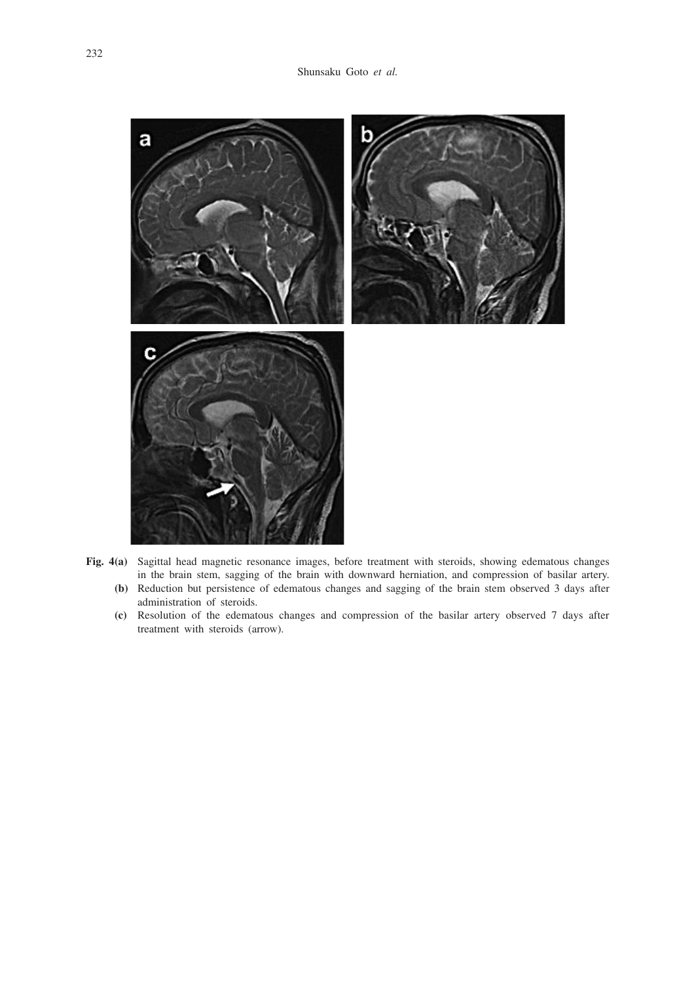

- **Fig. 4(a)** Sagittal head magnetic resonance images, before treatment with steroids, showing edematous changes in the brain stem, sagging of the brain with downward herniation, and compression of basilar artery. **(b)** Reduction but persistence of edematous changes and sagging of the brain stem observed 3 days after
	- administration of steroids.
	- **(c)** Resolution of the edematous changes and compression of the basilar artery observed 7 days after treatment with steroids (arrow).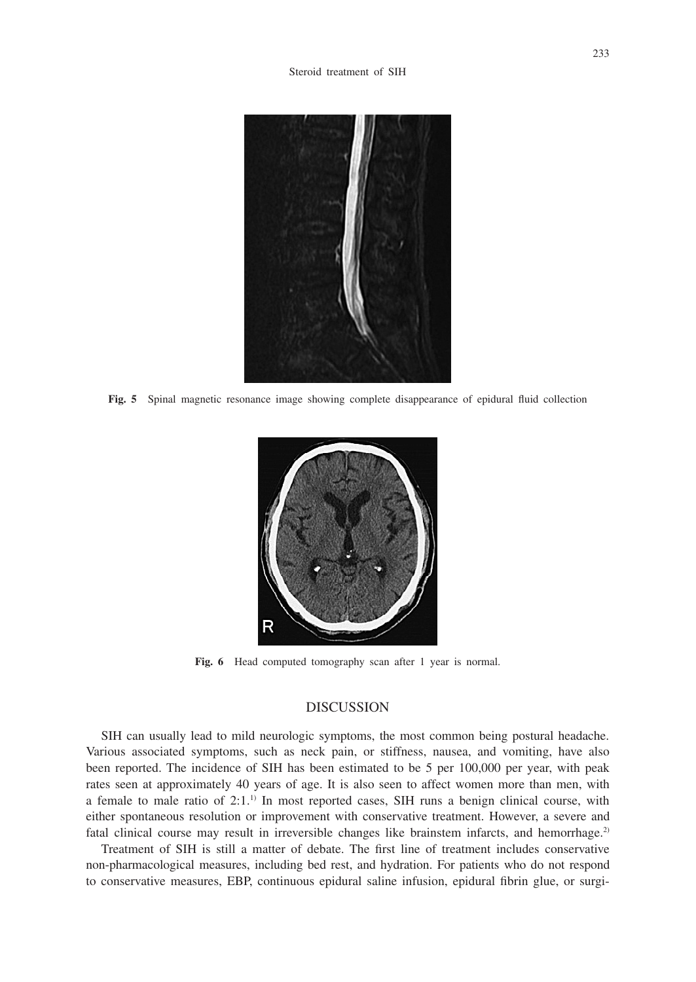

**Fig. 5** Spinal magnetic resonance image showing complete disappearance of epidural fluid collection



**Fig. 6** Head computed tomography scan after 1 year is normal.

### DISCUSSION

SIH can usually lead to mild neurologic symptoms, the most common being postural headache. Various associated symptoms, such as neck pain, or stiffness, nausea, and vomiting, have also been reported. The incidence of SIH has been estimated to be 5 per 100,000 per year, with peak rates seen at approximately 40 years of age. It is also seen to affect women more than men, with a female to male ratio of  $2:1$ .<sup>1)</sup> In most reported cases, SIH runs a benign clinical course, with either spontaneous resolution or improvement with conservative treatment. However, a severe and fatal clinical course may result in irreversible changes like brainstem infarcts, and hemorrhage.<sup>2)</sup>

Treatment of SIH is still a matter of debate. The first line of treatment includes conservative non-pharmacological measures, including bed rest, and hydration. For patients who do not respond to conservative measures, EBP, continuous epidural saline infusion, epidural fibrin glue, or surgi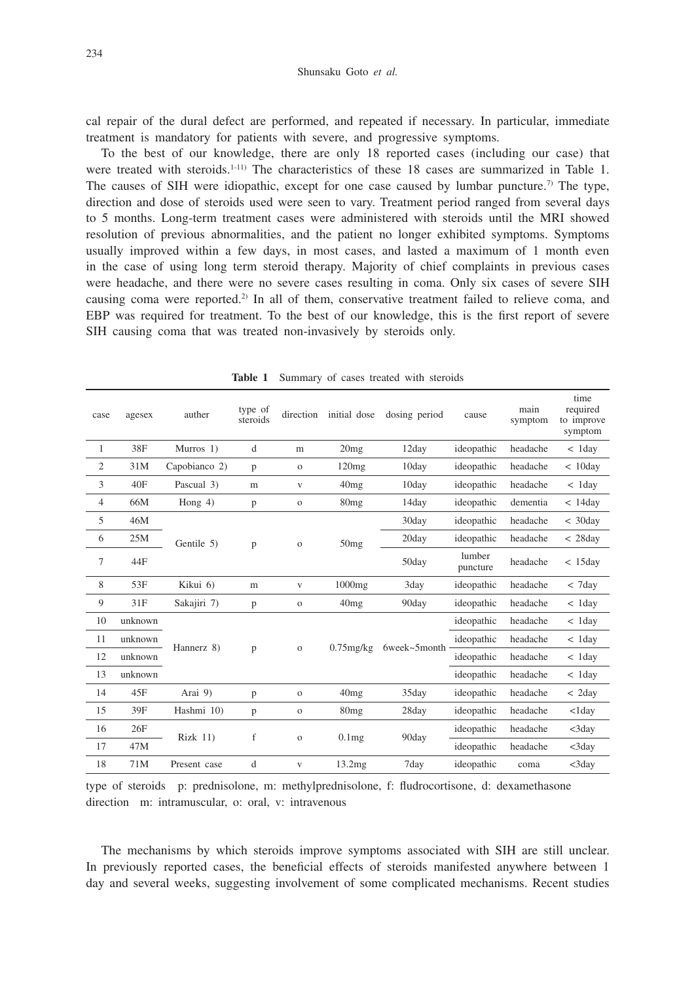cal repair of the dural defect are performed, and repeated if necessary. In particular, immediate treatment is mandatory for patients with severe, and progressive symptoms.

To the best of our knowledge, there are only 18 reported cases (including our case) that were treated with steroids.<sup>1-11)</sup> The characteristics of these 18 cases are summarized in Table 1. The causes of SIH were idiopathic, except for one case caused by lumbar puncture.<sup>7)</sup> The type, direction and dose of steroids used were seen to vary. Treatment period ranged from several days to 5 months. Long-term treatment cases were administered with steroids until the MRI showed resolution of previous abnormalities, and the patient no longer exhibited symptoms. Symptoms usually improved within a few days, in most cases, and lasted a maximum of 1 month even in the case of using long term steroid therapy. Majority of chief complaints in previous cases were headache, and there were no severe cases resulting in coma. Only six cases of severe SIH causing coma were reported.2) In all of them, conservative treatment failed to relieve coma, and EBP was required for treatment. To the best of our knowledge, this is the first report of severe SIH causing coma that was treated non-invasively by steroids only.

| case           | agesex  | auther          | type of<br>steroids | direction    | initial dose      | dosing period | cause              | main<br>symptom | time<br>required<br>to improve<br>symptom |
|----------------|---------|-----------------|---------------------|--------------|-------------------|---------------|--------------------|-----------------|-------------------------------------------|
| 1              | 38F     | Murros 1)       | d                   | m            | 20mg              | 12day         | ideopathic         | headache        | $< 1$ day                                 |
| $\overline{c}$ | 31M     | Capobianco 2)   | p                   | $\mathbf{O}$ | 120mg             | 10day         | ideopathic         | headache        | < 10day                                   |
| 3              | 40F     | Pascual 3)      | m                   | V            | 40mg              | 10day         | ideopathic         | headache        | $< 1$ day                                 |
| 4              | 66M     | Hong $4$ )      | p                   | $\mathbf{O}$ | 80mg              | 14day         | ideopathic         | dementia        | < 14day                                   |
| 5              | 46M     | Gentile 5)      | p                   | $\mathbf{O}$ | 50mg              | 30day         | ideopathic         | headache        | $<$ 30day                                 |
| 6              | 25M     |                 |                     |              |                   | 20day         | ideopathic         | headache        | < 28day                                   |
| 7              | 44F     |                 |                     |              |                   | 50day         | lumber<br>puncture | headache        | < 15day                                   |
| 8              | 53F     | Kikui 6)        | m                   | V            | 1000mg            | 3day          | ideopathic         | headache        | $<$ 7day                                  |
| 9              | 31F     | Sakajiri 7)     | p                   | $\mathbf O$  | 40mg              | 90day         | ideopathic         | headache        | $< 1$ day                                 |
| 10             | unknown | Hannerz 8)      | p                   | $\mathbf O$  | $0.75$ mg/kg      | 6week~5month  | ideopathic         | headache        | $< 1$ day                                 |
| 11             | unknown |                 |                     |              |                   |               | ideopathic         | headache        | $< 1$ day                                 |
| 12             | unknown |                 |                     |              |                   |               | ideopathic         | headache        | $< 1$ day                                 |
| 13             | unknown |                 |                     |              |                   |               | ideopathic         | headache        | $< 1$ day                                 |
| 14             | 45F     | Arai 9)         | p                   | $\mathbf O$  | 40mg              | 35day         | ideopathic         | headache        | $<$ 2day                                  |
| 15             | 39F     | Hashmi 10)      | p                   | $\mathbf O$  | 80mg              | 28day         | ideopathic         | headache        | $<$ 1day                                  |
| 16             | 26F     | <b>Rizk 11)</b> | f                   | $\mathbf{o}$ | 0.1 <sub>mg</sub> | 90day         | ideopathic         | headache        | <3day                                     |
| 17             | 47M     |                 |                     |              |                   |               | ideopathic         | headache        | <3day                                     |
| 18             | 71M     | Present case    | d                   | V            | 13.2mg            | 7day          | ideopathic         | coma            | <3day                                     |

**Table 1** Summary of cases treated with steroids

type of steroids p: prednisolone, m: methylprednisolone, f: fludrocortisone, d: dexamethasone direction m: intramuscular, o: oral, v: intravenous

The mechanisms by which steroids improve symptoms associated with SIH are still unclear. In previously reported cases, the beneficial effects of steroids manifested anywhere between 1 day and several weeks, suggesting involvement of some complicated mechanisms. Recent studies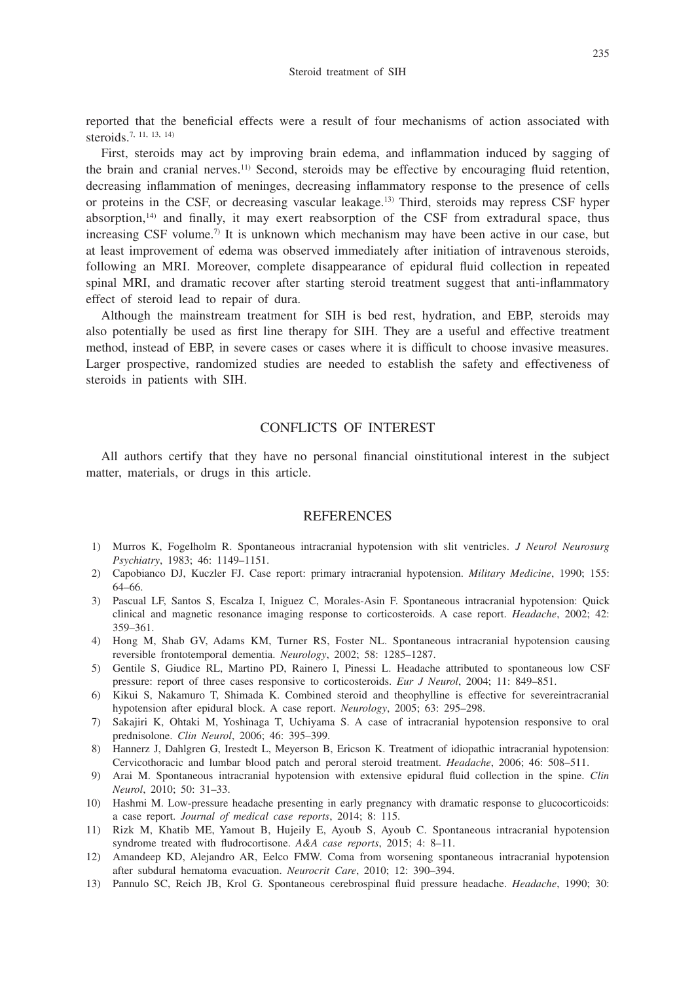reported that the beneficial effects were a result of four mechanisms of action associated with steroids.7, 11, 13, 14)

First, steroids may act by improving brain edema, and inflammation induced by sagging of the brain and cranial nerves.11) Second, steroids may be effective by encouraging fluid retention, decreasing inflammation of meninges, decreasing inflammatory response to the presence of cells or proteins in the CSF, or decreasing vascular leakage.13) Third, steroids may repress CSF hyper absorption, $14$ ) and finally, it may exert reabsorption of the CSF from extradural space, thus increasing CSF volume.<sup>7)</sup> It is unknown which mechanism may have been active in our case, but at least improvement of edema was observed immediately after initiation of intravenous steroids, following an MRI. Moreover, complete disappearance of epidural fluid collection in repeated spinal MRI, and dramatic recover after starting steroid treatment suggest that anti-inflammatory effect of steroid lead to repair of dura.

Although the mainstream treatment for SIH is bed rest, hydration, and EBP, steroids may also potentially be used as first line therapy for SIH. They are a useful and effective treatment method, instead of EBP, in severe cases or cases where it is difficult to choose invasive measures. Larger prospective, randomized studies are needed to establish the safety and effectiveness of steroids in patients with SIH.

## CONFLICTS OF INTEREST

All authors certify that they have no personal financial oinstitutional interest in the subject matter, materials, or drugs in this article.

#### **REFERENCES**

- 1) Murros K, Fogelholm R. Spontaneous intracranial hypotension with slit ventricles. *J Neurol Neurosurg Psychiatry*, 1983; 46: 1149–1151.
- 2) Capobianco DJ, Kuczler FJ. Case report: primary intracranial hypotension. *Military Medicine*, 1990; 155: 64–66.
- 3) Pascual LF, Santos S, Escalza I, Iniguez C, Morales-Asin F. Spontaneous intracranial hypotension: Quick clinical and magnetic resonance imaging response to corticosteroids. A case report. *Headache*, 2002; 42: 359–361.
- 4) Hong M, Shab GV, Adams KM, Turner RS, Foster NL. Spontaneous intracranial hypotension causing reversible frontotemporal dementia. *Neurology*, 2002; 58: 1285–1287.
- 5) Gentile S, Giudice RL, Martino PD, Rainero I, Pinessi L. Headache attributed to spontaneous low CSF pressure: report of three cases responsive to corticosteroids. *Eur J Neurol*, 2004; 11: 849–851.
- 6) Kikui S, Nakamuro T, Shimada K. Combined steroid and theophylline is effective for severeintracranial hypotension after epidural block. A case report. *Neurology*, 2005; 63: 295–298.
- 7) Sakajiri K, Ohtaki M, Yoshinaga T, Uchiyama S. A case of intracranial hypotension responsive to oral prednisolone. *Clin Neurol*, 2006; 46: 395–399.
- 8) Hannerz J, Dahlgren G, Irestedt L, Meyerson B, Ericson K. Treatment of idiopathic intracranial hypotension: Cervicothoracic and lumbar blood patch and peroral steroid treatment. *Headache*, 2006; 46: 508–511.
- 9) Arai M. Spontaneous intracranial hypotension with extensive epidural fluid collection in the spine. *Clin Neurol*, 2010; 50: 31–33.
- 10) Hashmi M. Low-pressure headache presenting in early pregnancy with dramatic response to glucocorticoids: a case report. *Journal of medical case reports*, 2014; 8: 115.
- 11) Rizk M, Khatib ME, Yamout B, Hujeily E, Ayoub S, Ayoub C. Spontaneous intracranial hypotension syndrome treated with fludrocortisone. *A&A case reports*, 2015; 4: 8–11.
- 12) Amandeep KD, Alejandro AR, Eelco FMW. Coma from worsening spontaneous intracranial hypotension after subdural hematoma evacuation. *Neurocrit Care*, 2010; 12: 390–394.
- 13) Pannulo SC, Reich JB, Krol G. Spontaneous cerebrospinal fluid pressure headache. *Headache*, 1990; 30: